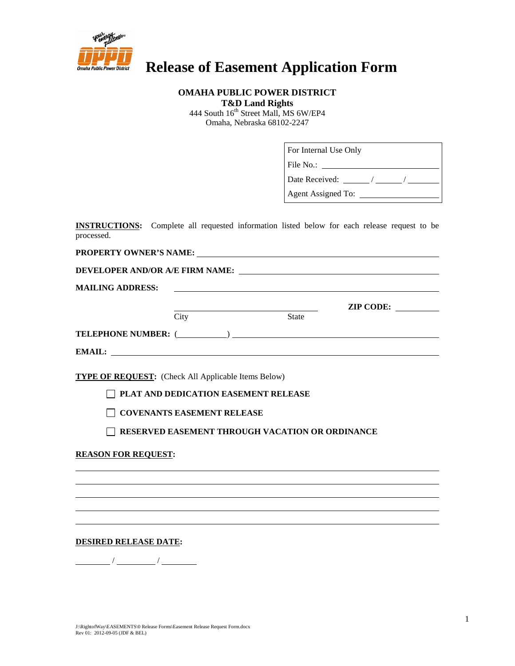

## **Release of Easement Application Form**

#### **OMAHA PUBLIC POWER DISTRICT**

**T&D Land Rights** 444 South  $16^{th}$  Street Mall, MS 6W/EP4

Omaha, Nebraska 68102-2247

| For Internal Use Only |  |  |  |  |
|-----------------------|--|--|--|--|
| File No.:             |  |  |  |  |
| Date Received:        |  |  |  |  |
| Agent Assigned To:    |  |  |  |  |

**INSTRUCTIONS:** Complete all requested information listed below for each release request to be processed.

**PROPERTY OWNER'S NAME: DEVELOPER AND/OR A/E FIRM NAME: MAILING ADDRESS: ZIP CODE:**  City State **TELEPHONE NUMBER:** ( ) **EMAIL: TYPE OF REQUEST:** (Check All Applicable Items Below) **PLAT AND DEDICATION EASEMENT RELEASE COVENANTS EASEMENT RELEASE RESERVED EASEMENT THROUGH VACATION OR ORDINANCE REASON FOR REQUEST: DESIRED RELEASE DATE:**

/ /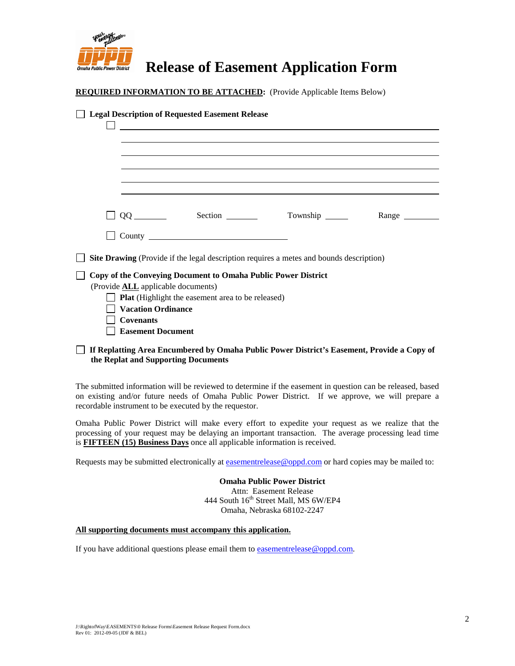

### **Release of Easement Application Form**

**REQUIRED INFORMATION TO BE ATTACHED:** (Provide Applicable Items Below)

|                                                               | <b>Legal Description of Requested Easement Release</b>   | <u> 1989 - Jan Stein Stein, fransk politik (f. 1989)</u> |                                                                                                |                                                                           |  |  |  |
|---------------------------------------------------------------|----------------------------------------------------------|----------------------------------------------------------|------------------------------------------------------------------------------------------------|---------------------------------------------------------------------------|--|--|--|
|                                                               |                                                          |                                                          |                                                                                                |                                                                           |  |  |  |
|                                                               |                                                          |                                                          |                                                                                                |                                                                           |  |  |  |
|                                                               |                                                          |                                                          |                                                                                                |                                                                           |  |  |  |
|                                                               |                                                          |                                                          |                                                                                                |                                                                           |  |  |  |
|                                                               |                                                          |                                                          | QQ Section Township                                                                            | Range $\frac{1}{\sqrt{1-\frac{1}{2}}\cdot\frac{1}{\sqrt{1-\frac{1}{2}}}}$ |  |  |  |
|                                                               |                                                          |                                                          |                                                                                                |                                                                           |  |  |  |
|                                                               |                                                          |                                                          | <b>Site Drawing</b> (Provide if the legal description requires a metes and bounds description) |                                                                           |  |  |  |
| Copy of the Conveying Document to Omaha Public Power District |                                                          |                                                          |                                                                                                |                                                                           |  |  |  |
| (Provide <b>ALL</b> applicable documents)                     |                                                          |                                                          |                                                                                                |                                                                           |  |  |  |
|                                                               | <b>Plat</b> (Highlight the easement area to be released) |                                                          |                                                                                                |                                                                           |  |  |  |
|                                                               | <b>Vacation Ordinance</b>                                |                                                          |                                                                                                |                                                                           |  |  |  |
|                                                               | <b>Covenants</b>                                         |                                                          |                                                                                                |                                                                           |  |  |  |
|                                                               | <b>Easement Document</b>                                 |                                                          |                                                                                                |                                                                           |  |  |  |
|                                                               | the Replat and Supporting Documents                      |                                                          | If Replatting Area Encumbered by Omaha Public Power District's Easement, Provide a Copy of     |                                                                           |  |  |  |

The submitted information will be reviewed to determine if the easement in question can be released, based on existing and/or future needs of Omaha Public Power District. If we approve, we will prepare a recordable instrument to be executed by the requestor.

Omaha Public Power District will make every effort to expedite your request as we realize that the processing of your request may be delaying an important transaction. The average processing lead time is **FIFTEEN (15) Business Days** once all applicable information is received.

Requests may be submitted electronically at [easementrelease@oppd.com](mailto:easementrelease@oppd.com) or hard copies may be mailed to:

**Omaha Public Power District** Attn: Easement Release 444 South  $16^{th}$  Street Mall, MS 6W/EP4 Omaha, Nebraska 68102-2247

#### **All supporting documents must accompany this application.**

If you have additional questions please email them to **easement release**@oppd.com.